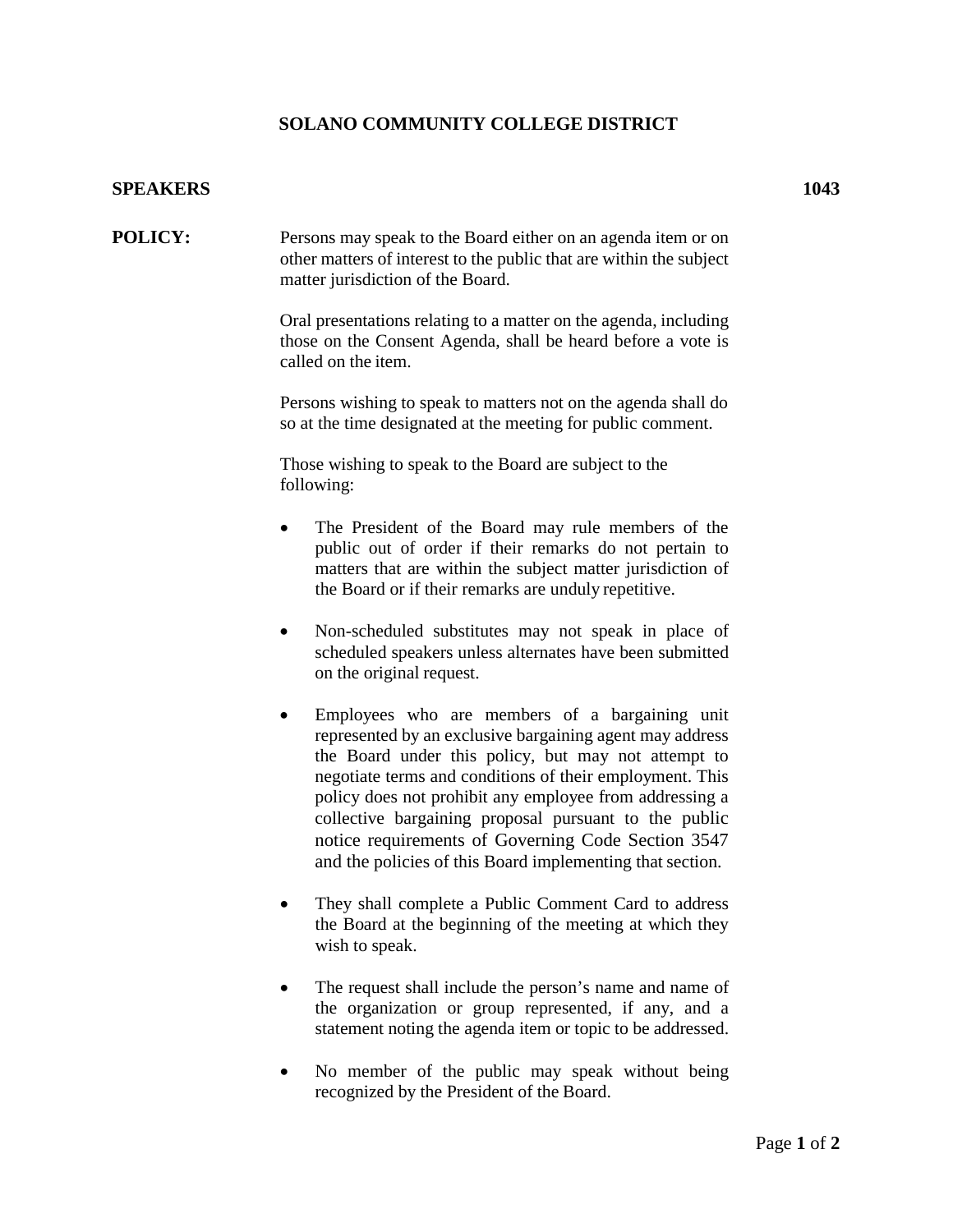## **SOLANO COMMUNITY COLLEGE DISTRICT**

## **SPEAKERS 1043**

**POLICY:** Persons may speak to the Board either on an agenda item or on other matters of interest to the public that are within the subject matter jurisdiction of the Board.

> Oral presentations relating to a matter on the agenda, including those on the Consent Agenda, shall be heard before a vote is called on the item.

> Persons wishing to speak to matters not on the agenda shall do so at the time designated at the meeting for public comment.

Those wishing to speak to the Board are subject to the following:

- The President of the Board may rule members of the public out of order if their remarks do not pertain to matters that are within the subject matter jurisdiction of the Board or if their remarks are unduly repetitive.
- Non-scheduled substitutes may not speak in place of scheduled speakers unless alternates have been submitted on the original request.
- Employees who are members of a bargaining unit represented by an exclusive bargaining agent may address the Board under this policy, but may not attempt to negotiate terms and conditions of their employment. This policy does not prohibit any employee from addressing a collective bargaining proposal pursuant to the public notice requirements of Governing Code Section 3547 and the policies of this Board implementing that section.
- They shall complete a Public Comment Card to address the Board at the beginning of the meeting at which they wish to speak.
- The request shall include the person's name and name of the organization or group represented, if any, and a statement noting the agenda item or topic to be addressed.
- No member of the public may speak without being recognized by the President of the Board.